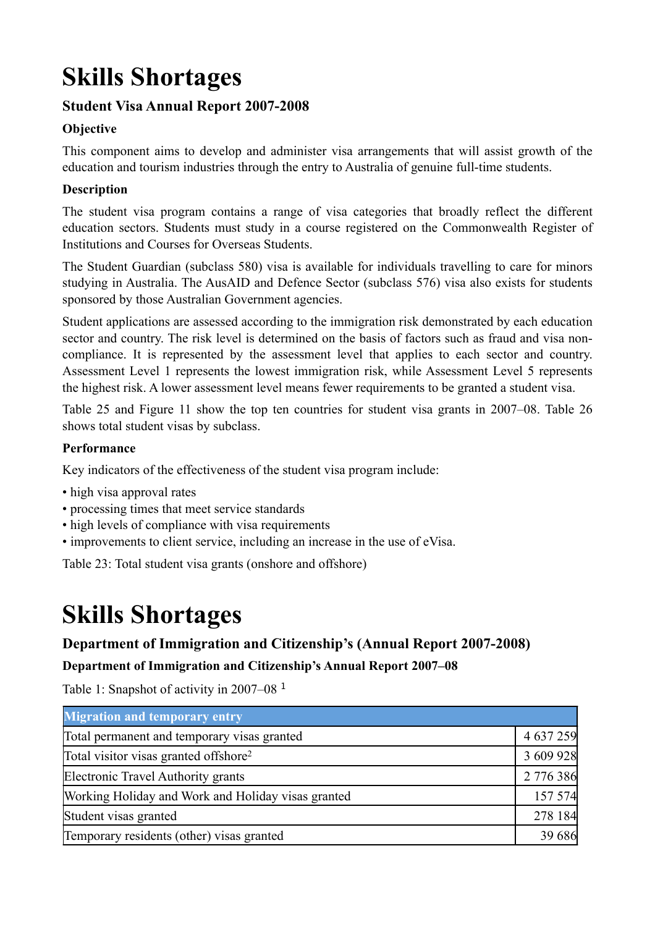# **Skills Shortages**

# **Student Visa Annual Report 2007-2008**

# **Objective**

This component aims to develop and administer visa arrangements that will assist growth of the education and tourism industries through the entry to Australia of genuine full-time students.

## **Description**

The student visa program contains a range of visa categories that broadly reflect the different education sectors. Students must study in a course registered on the Commonwealth Register of Institutions and Courses for Overseas Students.

The Student Guardian (subclass 580) visa is available for individuals travelling to care for minors studying in Australia. The AusAID and Defence Sector (subclass 576) visa also exists for students sponsored by those Australian Government agencies.

Student applications are assessed according to the immigration risk demonstrated by each education sector and country. The risk level is determined on the basis of factors such as fraud and visa noncompliance. It is represented by the assessment level that applies to each sector and country. Assessment Level 1 represents the lowest immigration risk, while Assessment Level 5 represents the highest risk. A lower assessment level means fewer requirements to be granted a student visa.

Table 25 and Figure 11 show the top ten countries for student visa grants in 2007–08. Table 26 shows total student visas by subclass.

#### **Performance**

Key indicators of the effectiveness of the student visa program include:

- high visa approval rates
- processing times that meet service standards
- high levels of compliance with visa requirements
- improvements to client service, including an increase in the use of eVisa.

Table 23: Total student visa grants (onshore and offshore)

# **Skills Shortages**

## **Department of Immigration and Citizenship's (Annual Report 2007-2008)**

#### **Department of Immigration and Citizenship's Annual Report 2007–08**

Table 1: Snapshot of activity in 2007–08<sup>1</sup>

| <b>Migration and temporary entry</b>               |           |
|----------------------------------------------------|-----------|
| Total permanent and temporary visas granted        | 4 637 259 |
| Total visitor visas granted offshore <sup>2</sup>  | 3 609 928 |
| Electronic Travel Authority grants                 | 2 776 386 |
| Working Holiday and Work and Holiday visas granted | 157 574   |
| Student visas granted                              | 278 184   |
| Temporary residents (other) visas granted          | 39 6 8 6  |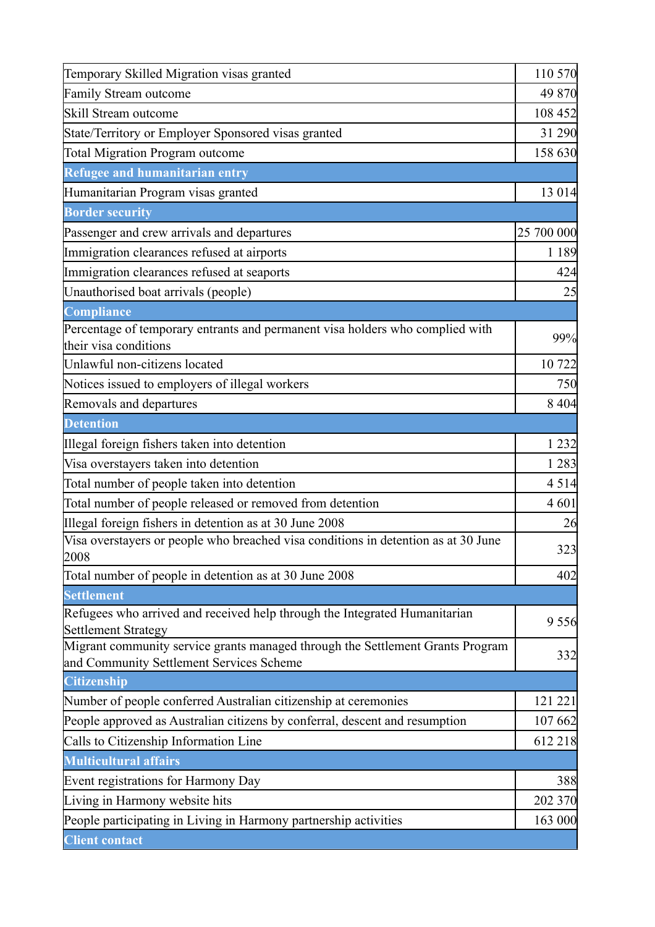| Temporary Skilled Migration visas granted                                                                                  | 110 570    |
|----------------------------------------------------------------------------------------------------------------------------|------------|
| Family Stream outcome                                                                                                      | 49 870     |
| Skill Stream outcome                                                                                                       | 108 452    |
| State/Territory or Employer Sponsored visas granted                                                                        | 31 290     |
| <b>Total Migration Program outcome</b>                                                                                     | 158 630    |
| Refugee and humanitarian entry                                                                                             |            |
| Humanitarian Program visas granted                                                                                         | 13 0 14    |
| <b>Border security</b>                                                                                                     |            |
| Passenger and crew arrivals and departures                                                                                 | 25 700 000 |
| Immigration clearances refused at airports                                                                                 | 1 1 8 9    |
| Immigration clearances refused at seaports                                                                                 | 424        |
| Unauthorised boat arrivals (people)                                                                                        | 25         |
| Compliance                                                                                                                 |            |
| Percentage of temporary entrants and permanent visa holders who complied with<br>their visa conditions                     | 99%        |
| Unlawful non-citizens located                                                                                              | 10 722     |
| Notices issued to employers of illegal workers                                                                             | 750        |
| Removals and departures                                                                                                    | 8 4 0 4    |
| <b>Detention</b>                                                                                                           |            |
| Illegal foreign fishers taken into detention                                                                               | 1 2 3 2    |
| Visa overstayers taken into detention                                                                                      | 1 2 8 3    |
| Total number of people taken into detention                                                                                | 4 5 1 4    |
| Total number of people released or removed from detention                                                                  | 4601       |
| Illegal foreign fishers in detention as at 30 June 2008                                                                    | 26         |
| Visa overstayers or people who breached visa conditions in detention as at 30 June<br>2008                                 | 323        |
| Total number of people in detention as at 30 June 2008                                                                     | 402        |
| <b>Settlement</b>                                                                                                          |            |
| Refugees who arrived and received help through the Integrated Humanitarian<br><b>Settlement Strategy</b>                   | 9 5 5 6    |
| Migrant community service grants managed through the Settlement Grants Program<br>and Community Settlement Services Scheme | 332        |
| <b>Citizenship</b>                                                                                                         |            |
| Number of people conferred Australian citizenship at ceremonies                                                            | 121 221    |
| People approved as Australian citizens by conferral, descent and resumption                                                | 107 662    |
| Calls to Citizenship Information Line                                                                                      | 612 218    |
| <b>Multicultural affairs</b>                                                                                               |            |
| Event registrations for Harmony Day                                                                                        | 388        |
| Living in Harmony website hits                                                                                             | 202 370    |
| People participating in Living in Harmony partnership activities                                                           | 163 000    |
| <b>Client contact</b>                                                                                                      |            |